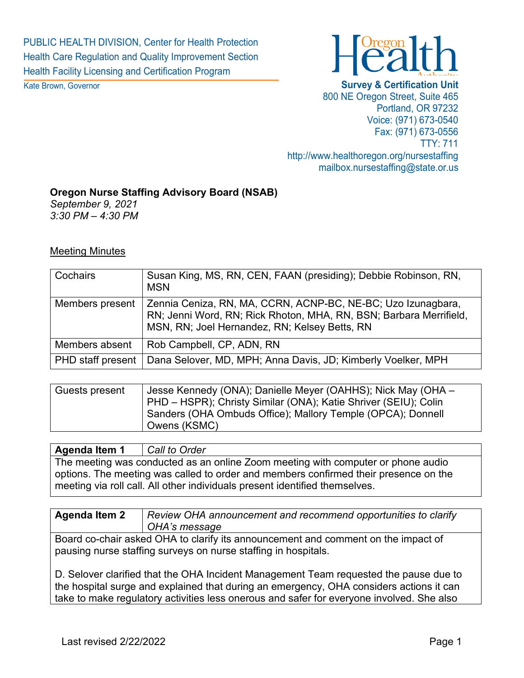PUBLIC HEALTH DIVISION, Center for Health Protection Health Care Regulation and Quality Improvement Section Health Facility Licensing and Certification Program

Kate Brown, Governor



### **Survey & Certification Unit**

800 NE Oregon Street, Suite 465 Portland, OR 97232 Voice: (971) 673-0540 Fax: (971) 673-0556 TTY: 711 http://www.healthoregon.org/nursestaffing mailbox.nursestaffing@state.or.us

#### **Oregon Nurse Staffing Advisory Board (NSAB)** *September 9, 2021*

*3:30 PM – 4:30 PM*

# Meeting Minutes

| Cochairs                 | Susan King, MS, RN, CEN, FAAN (presiding); Debbie Robinson, RN,<br><b>MSN</b>                                                                                                       |
|--------------------------|-------------------------------------------------------------------------------------------------------------------------------------------------------------------------------------|
| Members present          | Zennia Ceniza, RN, MA, CCRN, ACNP-BC, NE-BC; Uzo Izunagbara,<br>RN; Jenni Word, RN; Rick Rhoton, MHA, RN, BSN; Barbara Merrifield,<br>MSN, RN; Joel Hernandez, RN; Kelsey Betts, RN |
| Members absent           | Rob Campbell, CP, ADN, RN                                                                                                                                                           |
| <b>PHD</b> staff present | Dana Selover, MD, MPH; Anna Davis, JD; Kimberly Voelker, MPH                                                                                                                        |

| Guests present | ' Jesse Kennedy (ONA); Danielle Meyer (OAHHS); Nick May (OHA –<br>PHD - HSPR); Christy Similar (ONA); Katie Shriver (SEIU); Colin |
|----------------|-----------------------------------------------------------------------------------------------------------------------------------|
|                | Sanders (OHA Ombuds Office); Mallory Temple (OPCA); Donnell<br>Owens (KSMC)                                                       |

### **Agenda Item 1** *Call to Order*

The meeting was conducted as an online Zoom meeting with computer or phone audio options. The meeting was called to order and members confirmed their presence on the meeting via roll call. All other individuals present identified themselves.

| <b>Agenda Item 2</b> | Review OHA announcement and recommend opportunities to clarify |  |
|----------------------|----------------------------------------------------------------|--|
|                      | OHA's message                                                  |  |

Board co-chair asked OHA to clarify its announcement and comment on the impact of pausing nurse staffing surveys on nurse staffing in hospitals.

D. Selover clarified that the OHA Incident Management Team requested the pause due to the hospital surge and explained that during an emergency, OHA considers actions it can take to make regulatory activities less onerous and safer for everyone involved. She also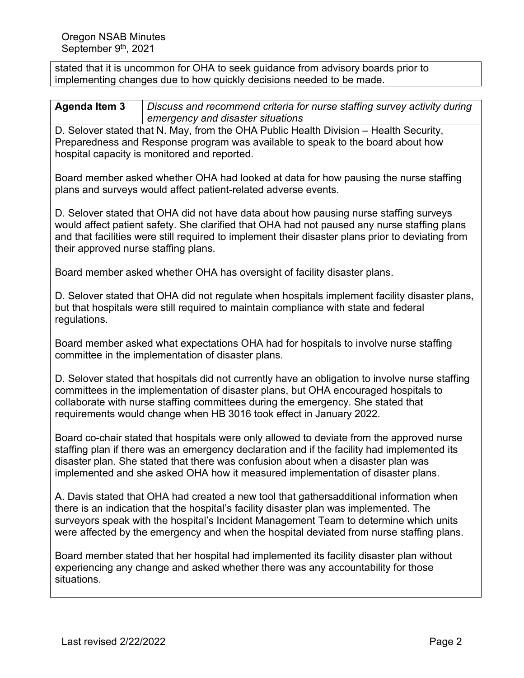Oregon NSAB Minutes September 9<sup>th</sup>, 2021

stated that it is uncommon for OHA to seek guidance from advisory boards prior to implementing changes due to how quickly decisions needed to be made.

## **Agenda Item 3** *Discuss and recommend criteria for nurse staffing survey activity during emergency and disaster situations*

D. Selover stated that N. May, from the OHA Public Health Division – Health Security, Preparedness and Response program was available to speak to the board about how hospital capacity is monitored and reported.

Board member asked whether OHA had looked at data for how pausing the nurse staffing plans and surveys would affect patient-related adverse events.

D. Selover stated that OHA did not have data about how pausing nurse staffing surveys would affect patient safety. She clarified that OHA had not paused any nurse staffing plans and that facilities were still required to implement their disaster plans prior to deviating from their approved nurse staffing plans.

Board member asked whether OHA has oversight of facility disaster plans.

D. Selover stated that OHA did not regulate when hospitals implement facility disaster plans, but that hospitals were still required to maintain compliance with state and federal regulations.

Board member asked what expectations OHA had for hospitals to involve nurse staffing committee in the implementation of disaster plans.

D. Selover stated that hospitals did not currently have an obligation to involve nurse staffing committees in the implementation of disaster plans, but OHA encouraged hospitals to collaborate with nurse staffing committees during the emergency. She stated that requirements would change when HB 3016 took effect in January 2022.

Board co-chair stated that hospitals were only allowed to deviate from the approved nurse staffing plan if there was an emergency declaration and if the facility had implemented its disaster plan. She stated that there was confusion about when a disaster plan was implemented and she asked OHA how it measured implementation of disaster plans.

A. Davis stated that OHA had created a new tool that gathersadditional information when there is an indication that the hospital's facility disaster plan was implemented. The surveyors speak with the hospital's Incident Management Team to determine which units were affected by the emergency and when the hospital deviated from nurse staffing plans.

Board member stated that her hospital had implemented its facility disaster plan without experiencing any change and asked whether there was any accountability for those situations.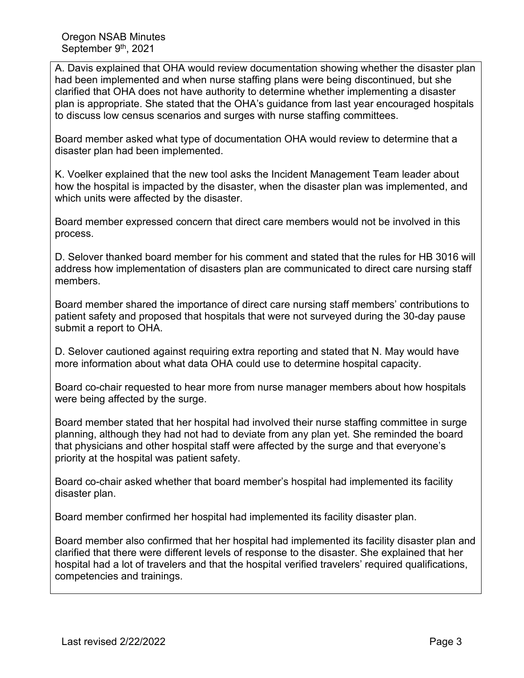A. Davis explained that OHA would review documentation showing whether the disaster plan had been implemented and when nurse staffing plans were being discontinued, but she clarified that OHA does not have authority to determine whether implementing a disaster plan is appropriate. She stated that the OHA's guidance from last year encouraged hospitals to discuss low census scenarios and surges with nurse staffing committees.

Board member asked what type of documentation OHA would review to determine that a disaster plan had been implemented.

K. Voelker explained that the new tool asks the Incident Management Team leader about how the hospital is impacted by the disaster, when the disaster plan was implemented, and which units were affected by the disaster.

Board member expressed concern that direct care members would not be involved in this process.

D. Selover thanked board member for his comment and stated that the rules for HB 3016 will address how implementation of disasters plan are communicated to direct care nursing staff members.

Board member shared the importance of direct care nursing staff members' contributions to patient safety and proposed that hospitals that were not surveyed during the 30-day pause submit a report to OHA.

D. Selover cautioned against requiring extra reporting and stated that N. May would have more information about what data OHA could use to determine hospital capacity.

Board co-chair requested to hear more from nurse manager members about how hospitals were being affected by the surge.

Board member stated that her hospital had involved their nurse staffing committee in surge planning, although they had not had to deviate from any plan yet. She reminded the board that physicians and other hospital staff were affected by the surge and that everyone's priority at the hospital was patient safety.

Board co-chair asked whether that board member's hospital had implemented its facility disaster plan.

Board member confirmed her hospital had implemented its facility disaster plan.

Board member also confirmed that her hospital had implemented its facility disaster plan and clarified that there were different levels of response to the disaster. She explained that her hospital had a lot of travelers and that the hospital verified travelers' required qualifications, competencies and trainings.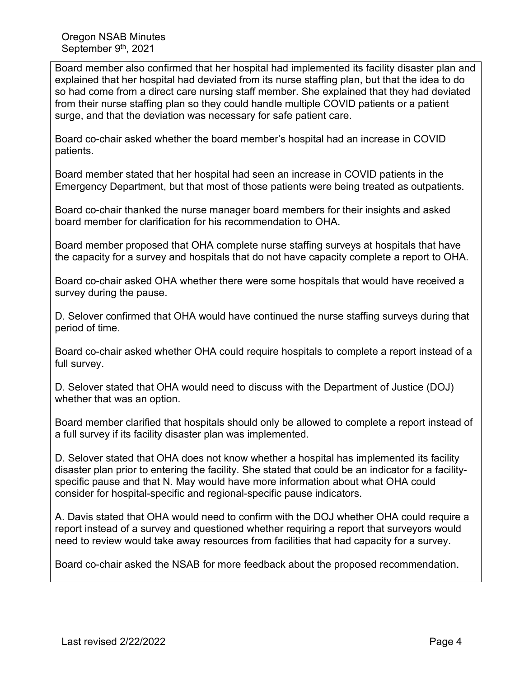Board member also confirmed that her hospital had implemented its facility disaster plan and explained that her hospital had deviated from its nurse staffing plan, but that the idea to do so had come from a direct care nursing staff member. She explained that they had deviated from their nurse staffing plan so they could handle multiple COVID patients or a patient surge, and that the deviation was necessary for safe patient care.

Board co-chair asked whether the board member's hospital had an increase in COVID patients.

Board member stated that her hospital had seen an increase in COVID patients in the Emergency Department, but that most of those patients were being treated as outpatients.

Board co-chair thanked the nurse manager board members for their insights and asked board member for clarification for his recommendation to OHA.

Board member proposed that OHA complete nurse staffing surveys at hospitals that have the capacity for a survey and hospitals that do not have capacity complete a report to OHA.

Board co-chair asked OHA whether there were some hospitals that would have received a survey during the pause.

D. Selover confirmed that OHA would have continued the nurse staffing surveys during that period of time.

Board co-chair asked whether OHA could require hospitals to complete a report instead of a full survey.

D. Selover stated that OHA would need to discuss with the Department of Justice (DOJ) whether that was an option.

Board member clarified that hospitals should only be allowed to complete a report instead of a full survey if its facility disaster plan was implemented.

D. Selover stated that OHA does not know whether a hospital has implemented its facility disaster plan prior to entering the facility. She stated that could be an indicator for a facilityspecific pause and that N. May would have more information about what OHA could consider for hospital-specific and regional-specific pause indicators.

A. Davis stated that OHA would need to confirm with the DOJ whether OHA could require a report instead of a survey and questioned whether requiring a report that surveyors would need to review would take away resources from facilities that had capacity for a survey.

Board co-chair asked the NSAB for more feedback about the proposed recommendation.